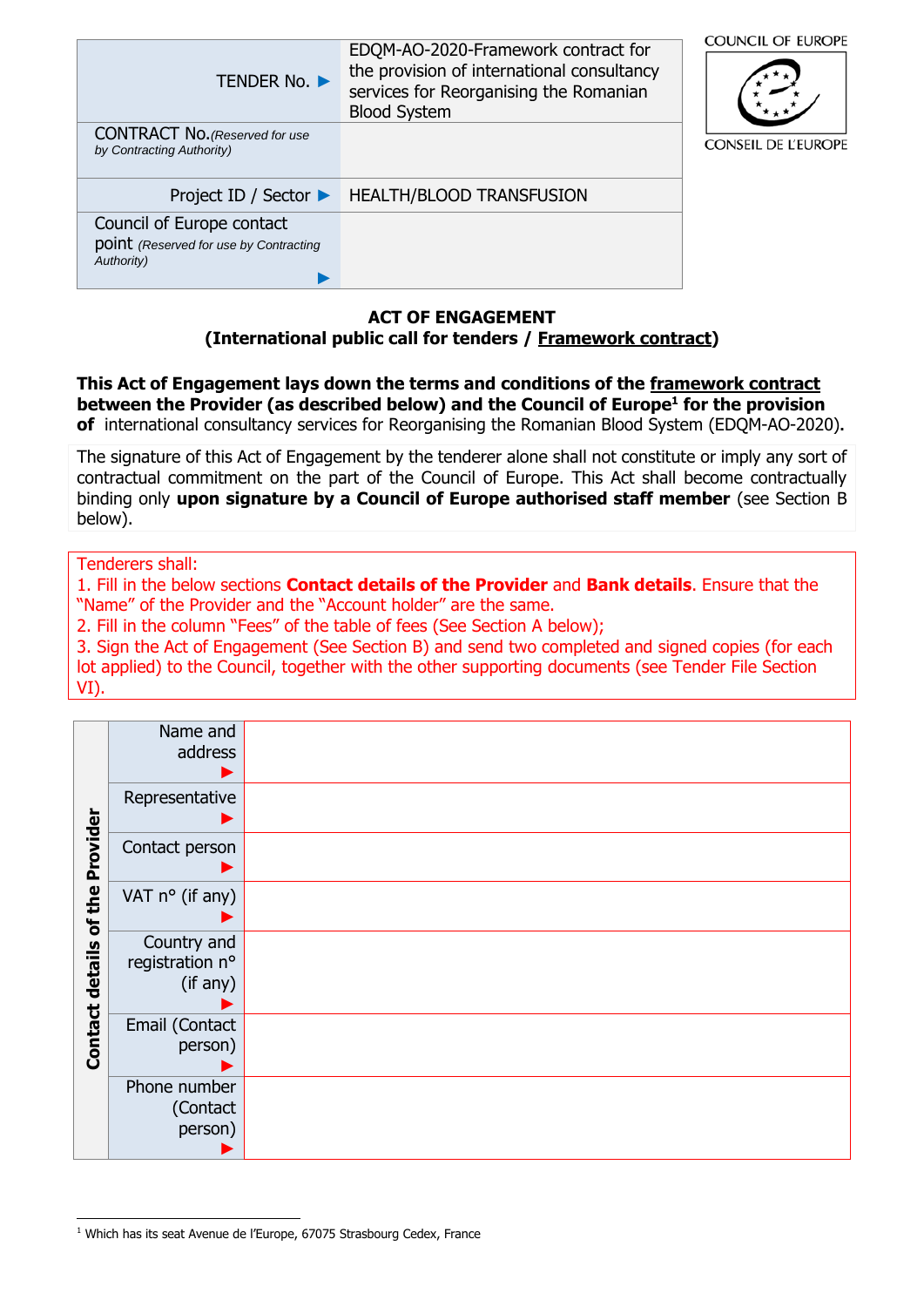| <b>TENDER No. ▶</b>                                                               | EDQM-AO-2020-Framework contract for<br>the provision of international consultancy<br>services for Reorganising the Romanian<br><b>Blood System</b> | <b>COUNCIL OF EUROPE</b>   |
|-----------------------------------------------------------------------------------|----------------------------------------------------------------------------------------------------------------------------------------------------|----------------------------|
| <b>CONTRACT No.</b> (Reserved for use<br>by Contracting Authority)                |                                                                                                                                                    | <b>CONSEIL DE L'EUROPE</b> |
| Project ID / Sector $\blacktriangleright$                                         | <b>HEALTH/BLOOD TRANSFUSION</b>                                                                                                                    |                            |
| Council of Europe contact<br>point (Reserved for use by Contracting<br>Authority) |                                                                                                                                                    |                            |

### **ACT OF ENGAGEMENT (International public call for tenders / Framework contract)**

**This Act of Engagement lays down the terms and conditions of the framework contract between the Provider (as described below) and the Council of Europe<sup>1</sup> for the provision of** international consultancy services for Reorganising the Romanian Blood System (EDQM-AO-2020)**.**

The signature of this Act of Engagement by the tenderer alone shall not constitute or imply any sort of contractual commitment on the part of the Council of Europe. This Act shall become contractually binding only **upon signature by a Council of Europe authorised staff member** (see Section B below).

Tenderers shall:

1. Fill in the below sections **Contact details of the Provider** and **Bank details**. Ensure that the "Name" of the Provider and the "Account holder" are the same.

2. Fill in the column "Fees" of the table of fees (See Section A below);

3. Sign the Act of Engagement (See Section B) and send two completed and signed copies (for each lot applied) to the Council, together with the other supporting documents (see Tender File Section VI).

|                                 | Name and<br>address                        |  |
|---------------------------------|--------------------------------------------|--|
|                                 | Representative                             |  |
|                                 | Contact person                             |  |
|                                 | VAT $n^{\circ}$ (if any)                   |  |
| Contact details of the Provider | Country and<br>registration n°<br>(if any) |  |
|                                 | Email (Contact<br>person)                  |  |
|                                 | Phone number<br>(Contact<br>person)        |  |

 $\overline{a}$ <sup>1</sup> Which has its seat Avenue de l'Europe, 67075 Strasbourg Cedex, France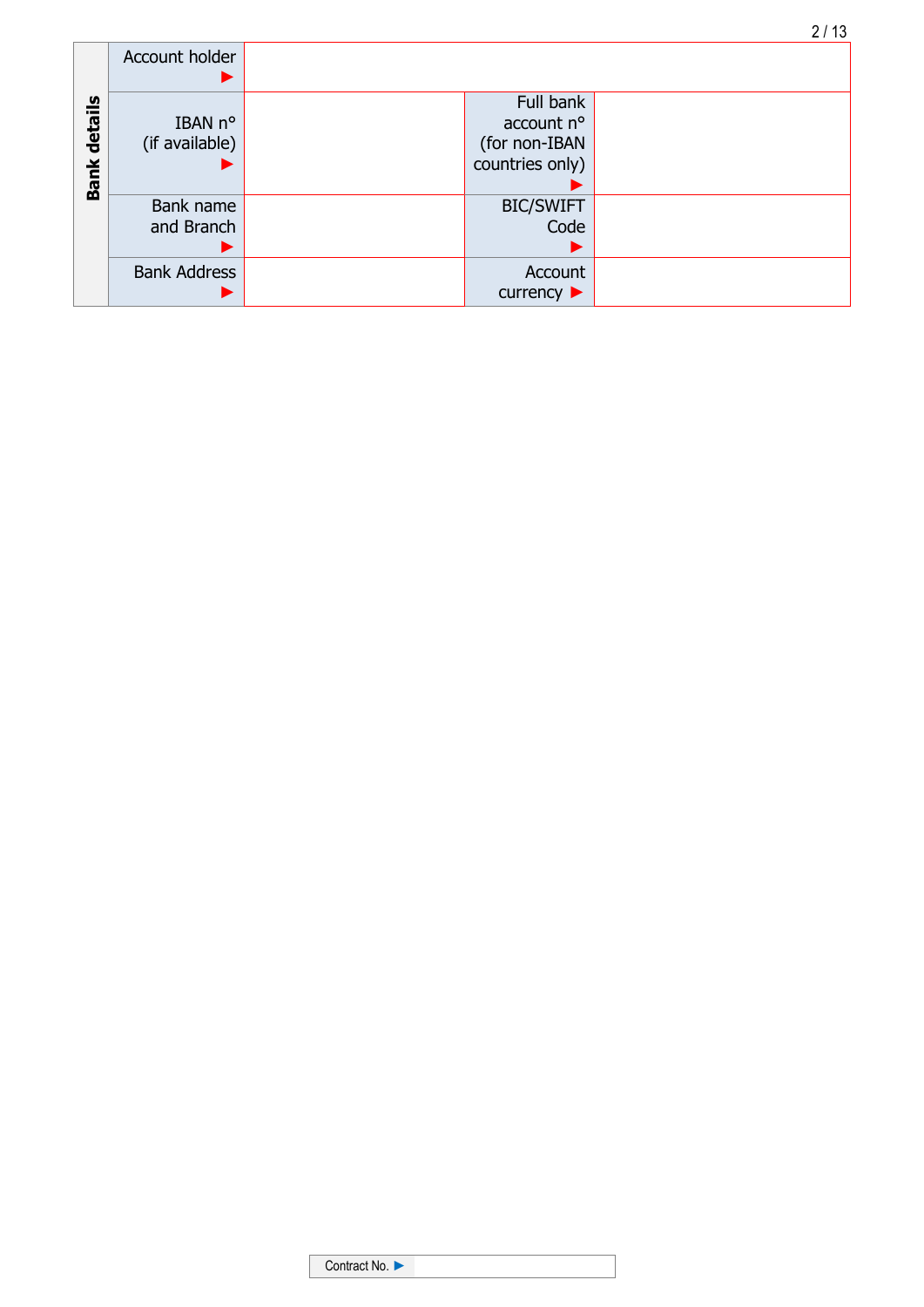|                     |                     |                                | 2/13 |
|---------------------|---------------------|--------------------------------|------|
|                     | Account holder      |                                |      |
|                     | ▶                   |                                |      |
|                     |                     | Full bank                      |      |
|                     | IBAN n°             | account n°                     |      |
|                     | (if available)      | (for non-IBAN                  |      |
| <b>Bank details</b> |                     | countries only)                |      |
|                     |                     |                                |      |
|                     | Bank name           | <b>BIC/SWIFT</b>               |      |
|                     | and Branch          | Code                           |      |
|                     |                     |                                |      |
|                     | <b>Bank Address</b> | Account                        |      |
|                     |                     | currency $\blacktriangleright$ |      |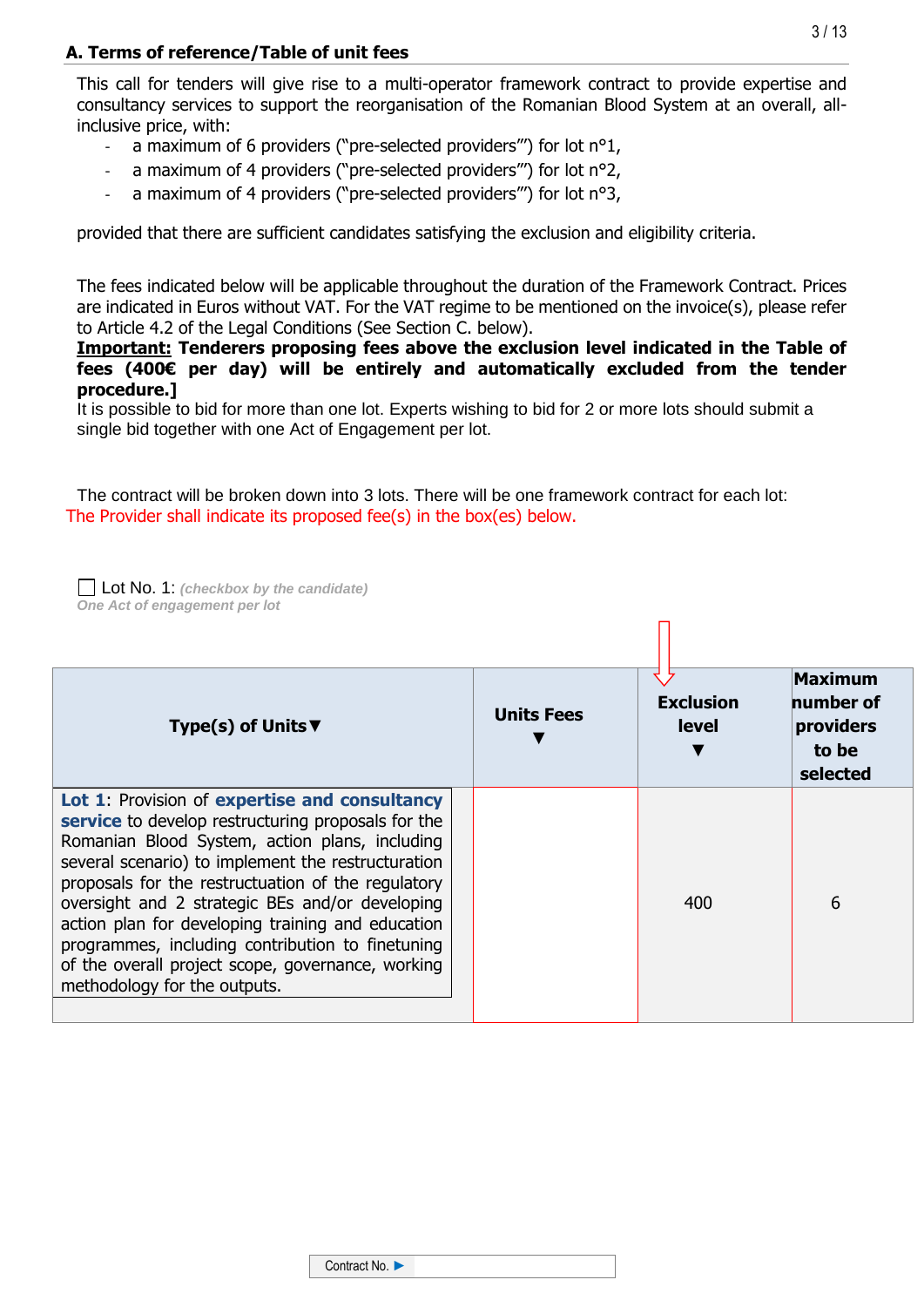## **A. Terms of reference/Table of unit fees**

This call for tenders will give rise to a multi-operator framework contract to provide expertise and consultancy services to support the reorganisation of the Romanian Blood System at an overall, allinclusive price, with:

- a maximum of 6 providers ("pre-selected providers"') for lot  $n^o1$ ,
- a maximum of 4 providers ("pre-selected providers"") for lot  $n^{\circ}2$ ,
- a maximum of 4 providers ("pre-selected providers"") for lot  $n^{\circ}3$ ,

provided that there are sufficient candidates satisfying the exclusion and eligibility criteria.

The fees indicated below will be applicable throughout the duration of the Framework Contract. Prices are indicated in Euros without VAT. For the VAT regime to be mentioned on the invoice(s), please refer to Article 4.2 of the Legal Conditions (See Section C. below).

**Important: Tenderers proposing fees above the exclusion level indicated in the Table of fees (400€ per day) will be entirely and automatically excluded from the tender procedure.]**

It is possible to bid for more than one lot. Experts wishing to bid for 2 or more lots should submit a single bid together with one Act of Engagement per lot.

The contract will be broken down into 3 lots. There will be one framework contract for each lot: The Provider shall indicate its proposed fee(s) in the box(es) below.



| Type(s) of Units $\blacktriangledown$                                                                                                                                                                                                                                                                                                                                                                                                                                                                              | <b>Units Fees</b> | <b>Exclusion</b><br><b>level</b> | <b>Maximum</b><br>number of<br>providers<br>to be<br>selected |
|--------------------------------------------------------------------------------------------------------------------------------------------------------------------------------------------------------------------------------------------------------------------------------------------------------------------------------------------------------------------------------------------------------------------------------------------------------------------------------------------------------------------|-------------------|----------------------------------|---------------------------------------------------------------|
| Lot 1: Provision of expertise and consultancy<br>service to develop restructuring proposals for the<br>Romanian Blood System, action plans, including<br>several scenario) to implement the restructuration<br>proposals for the restructuation of the regulatory<br>oversight and 2 strategic BEs and/or developing<br>action plan for developing training and education<br>programmes, including contribution to finetuning<br>of the overall project scope, governance, working<br>methodology for the outputs. |                   | 400                              | 6                                                             |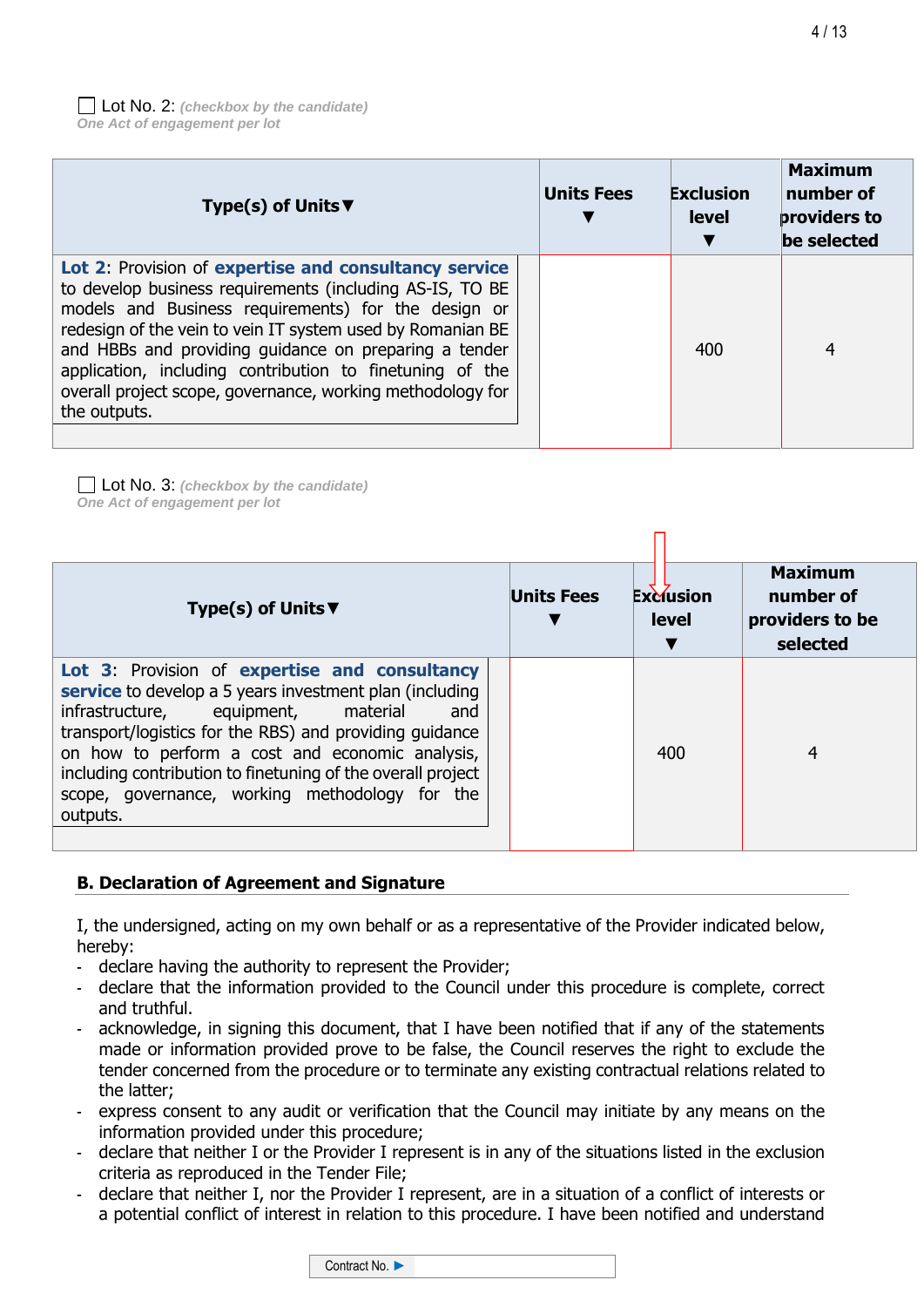| Type(s) of Units $\blacktriangledown$                                                                                                                                                                                                                                                                                                                                                                                                     | <b>Units Fees</b> | <b>Exclusion</b><br>level | <b>Maximum</b><br>number of<br>providers to<br>be selected |
|-------------------------------------------------------------------------------------------------------------------------------------------------------------------------------------------------------------------------------------------------------------------------------------------------------------------------------------------------------------------------------------------------------------------------------------------|-------------------|---------------------------|------------------------------------------------------------|
| Lot 2: Provision of expertise and consultancy service<br>to develop business requirements (including AS-IS, TO BE<br>models and Business requirements) for the design or<br>redesign of the vein to vein IT system used by Romanian BE<br>and HBBs and providing guidance on preparing a tender<br>application, including contribution to finetuning of the<br>overall project scope, governance, working methodology for<br>the outputs. |                   | 400                       | 4                                                          |

Lot No. 3: *(checkbox by the candidate) One Act of engagement per lot*

| Type(s) of Units $\blacktriangledown$                                                                                                                                                                                                                                                                                                                                                             | <b>Units Fees</b> | <b>Exclusion</b><br><b>level</b> | <b>Maximum</b><br>number of<br>providers to be<br>selected |
|---------------------------------------------------------------------------------------------------------------------------------------------------------------------------------------------------------------------------------------------------------------------------------------------------------------------------------------------------------------------------------------------------|-------------------|----------------------------------|------------------------------------------------------------|
| Lot 3: Provision of expertise and consultancy<br>service to develop a 5 years investment plan (including<br>infrastructure, equipment, material<br>and<br>transport/logistics for the RBS) and providing guidance<br>on how to perform a cost and economic analysis,<br>including contribution to finetuning of the overall project<br>scope, governance, working methodology for the<br>outputs. |                   | 400                              | 4                                                          |

# **B. Declaration of Agreement and Signature**

I, the undersigned, acting on my own behalf or as a representative of the Provider indicated below, hereby:

- declare having the authority to represent the Provider;
- declare that the information provided to the Council under this procedure is complete, correct and truthful.
- acknowledge, in signing this document, that I have been notified that if any of the statements made or information provided prove to be false, the Council reserves the right to exclude the tender concerned from the procedure or to terminate any existing contractual relations related to the latter;
- express consent to any audit or verification that the Council may initiate by any means on the information provided under this procedure;
- declare that neither I or the Provider I represent is in any of the situations listed in the exclusion criteria as reproduced in the Tender File;
- declare that neither I, nor the Provider I represent, are in a situation of a conflict of interests or a potential conflict of interest in relation to this procedure. I have been notified and understand

Contract No. ►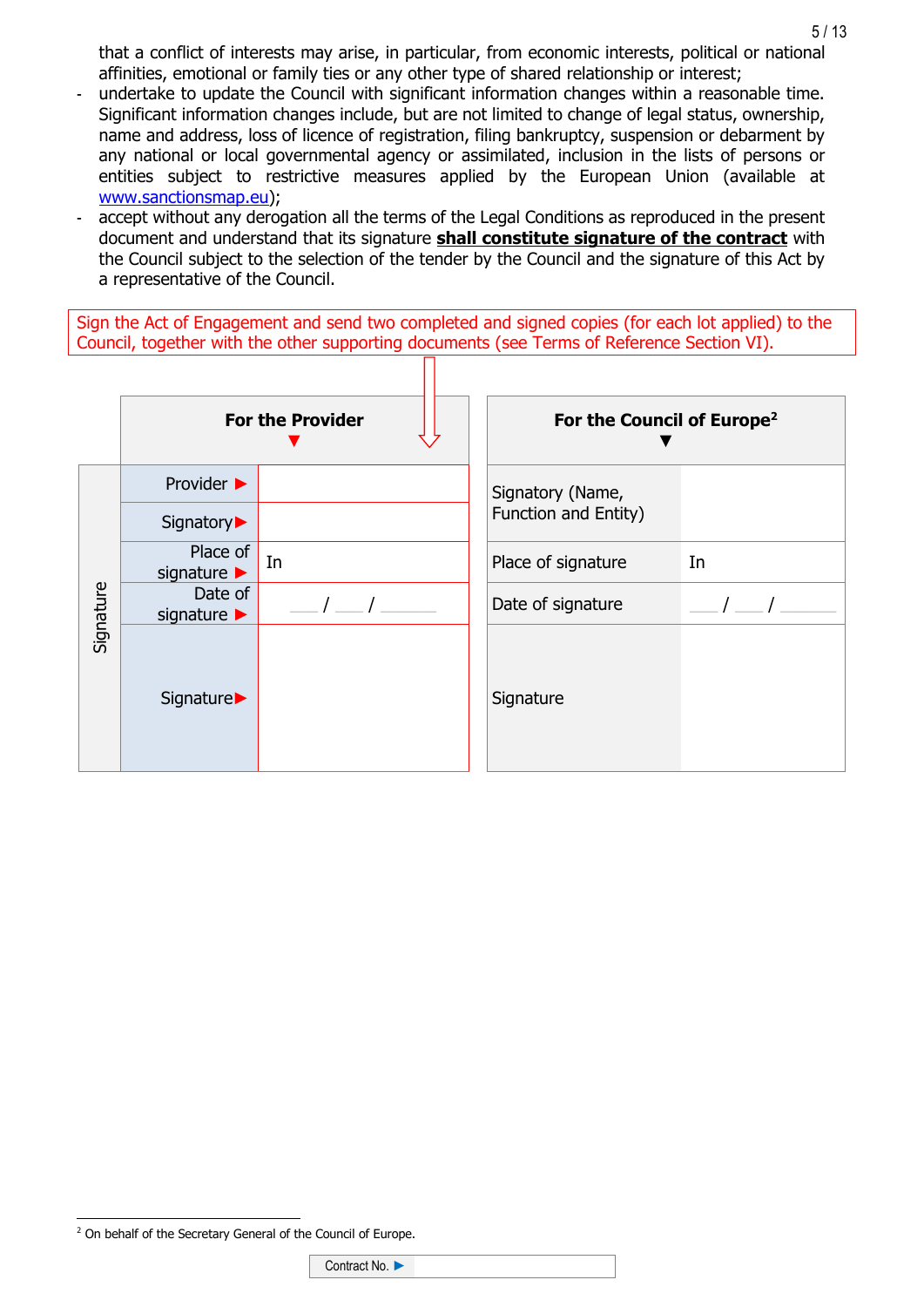that a conflict of interests may arise, in particular, from economic interests, political or national affinities, emotional or family ties or any other type of shared relationship or interest;

- undertake to update the Council with significant information changes within a reasonable time. Significant information changes include, but are not limited to change of legal status, ownership, name and address, loss of licence of registration, filing bankruptcy, suspension or debarment by any national or local governmental agency or assimilated, inclusion in the lists of persons or entities subject to restrictive measures applied by the European Union (available at [www.sanctionsmap.eu\)](http://www.sanctionsmap.eu/);
- accept without any derogation all the terms of the Legal Conditions as reproduced in the present document and understand that its signature **shall constitute signature of the contract** with the Council subject to the selection of the tender by the Council and the signature of this Act by a representative of the Council.

Sign the Act of Engagement and send two completed and signed copies (for each lot applied) to the Council, together with the other supporting documents (see Terms of Reference Section VI).

|           | <b>For the Provider</b>                     |    | For the Council of Europe <sup>2</sup> |    |
|-----------|---------------------------------------------|----|----------------------------------------|----|
|           | Provider $\blacktriangleright$              |    | Signatory (Name,                       |    |
|           | Signatory▶                                  |    | Function and Entity)                   |    |
|           | Place of<br>signature $\blacktriangleright$ | In | Place of signature                     | In |
| Signature | Date of<br>signature $\blacktriangleright$  |    | Date of signature                      |    |
|           | Signature▶                                  |    | Signature                              |    |

<sup>5</sup> / 13

 $\overline{a}$ <sup>2</sup> On behalf of the Secretary General of the Council of Europe.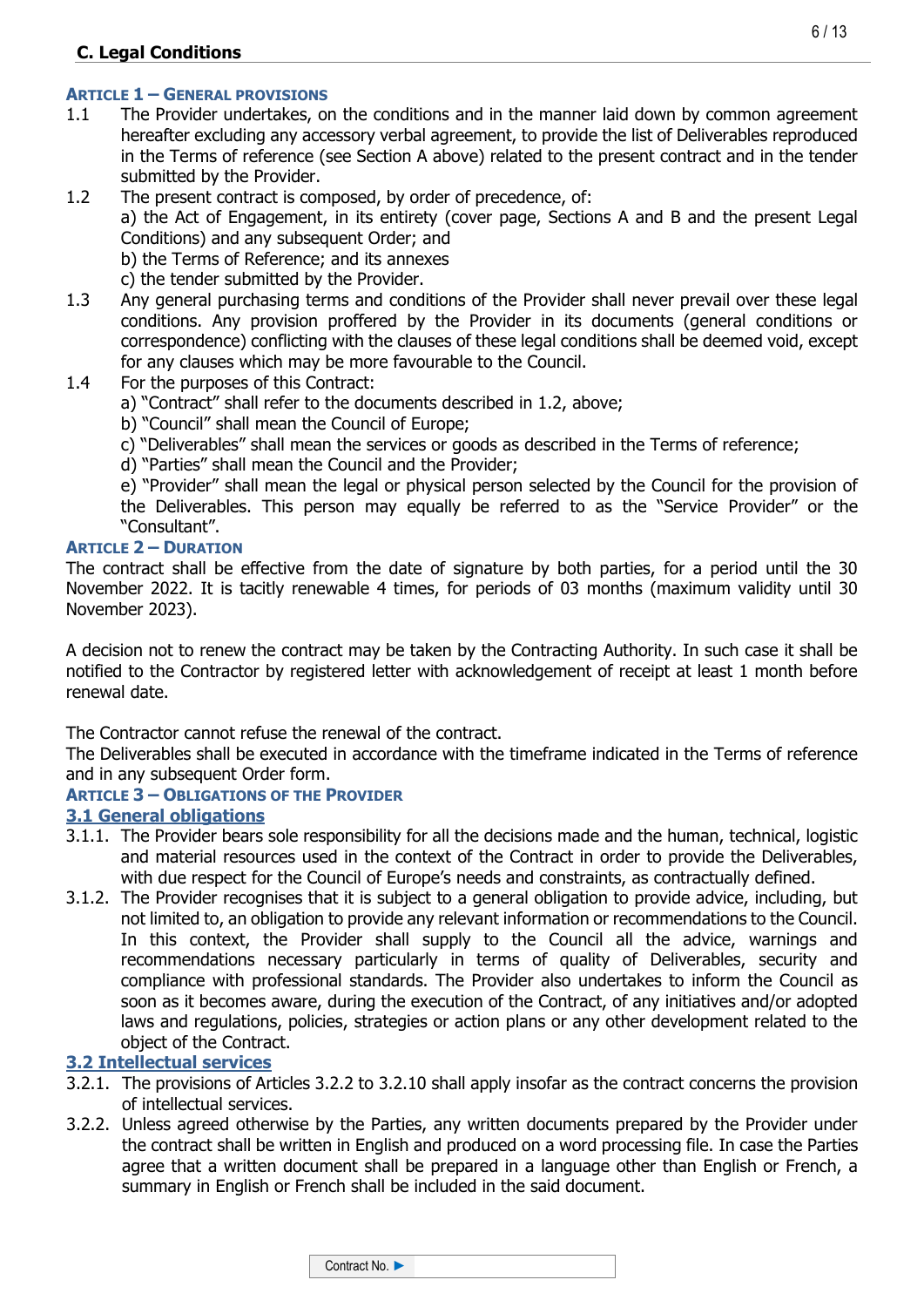# **C. Legal Conditions**

#### **ARTICLE 1 – GENERAL PROVISIONS**

1.1 The Provider undertakes, on the conditions and in the manner laid down by common agreement hereafter excluding any accessory verbal agreement, to provide the list of Deliverables reproduced in the Terms of reference (see Section A above) related to the present contract and in the tender submitted by the Provider.

1.2 The present contract is composed, by order of precedence, of: a) the Act of Engagement, in its entirety (cover page, Sections A and B and the present Legal Conditions) and any subsequent Order; and b) the Terms of Reference; and its annexes c) the tender submitted by the Provider.

- 1.3 Any general purchasing terms and conditions of the Provider shall never prevail over these legal conditions. Any provision proffered by the Provider in its documents (general conditions or correspondence) conflicting with the clauses of these legal conditions shall be deemed void, except for any clauses which may be more favourable to the Council.
- 1.4 For the purposes of this Contract:
	- a) "Contract" shall refer to the documents described in 1.2, above;
	- b) "Council" shall mean the Council of Europe;
	- c) "Deliverables" shall mean the services or goods as described in the Terms of reference;
	- d) "Parties" shall mean the Council and the Provider;

e) "Provider" shall mean the legal or physical person selected by the Council for the provision of the Deliverables. This person may equally be referred to as the "Service Provider" or the "Consultant".

#### **ARTICLE 2 – DURATION**

The contract shall be effective from the date of signature by both parties, for a period until the 30 November 2022. It is tacitly renewable 4 times, for periods of 03 months (maximum validity until 30 November 2023).

A decision not to renew the contract may be taken by the Contracting Authority. In such case it shall be notified to the Contractor by registered letter with acknowledgement of receipt at least 1 month before renewal date.

The Contractor cannot refuse the renewal of the contract.

The Deliverables shall be executed in accordance with the timeframe indicated in the Terms of reference and in any subsequent Order form.

#### **ARTICLE 3 – OBLIGATIONS OF THE PROVIDER**

### **3.1 General obligations**

- 3.1.1. The Provider bears sole responsibility for all the decisions made and the human, technical, logistic and material resources used in the context of the Contract in order to provide the Deliverables, with due respect for the Council of Europe's needs and constraints, as contractually defined.
- 3.1.2. The Provider recognises that it is subject to a general obligation to provide advice, including, but not limited to, an obligation to provide any relevant information or recommendations to the Council. In this context, the Provider shall supply to the Council all the advice, warnings and recommendations necessary particularly in terms of quality of Deliverables, security and compliance with professional standards. The Provider also undertakes to inform the Council as soon as it becomes aware, during the execution of the Contract, of any initiatives and/or adopted laws and regulations, policies, strategies or action plans or any other development related to the object of the Contract.

#### **3.2 Intellectual services**

- 3.2.1. The provisions of Articles 3.2.2 to 3.2.10 shall apply insofar as the contract concerns the provision of intellectual services.
- 3.2.2. Unless agreed otherwise by the Parties, any written documents prepared by the Provider under the contract shall be written in English and produced on a word processing file. In case the Parties agree that a written document shall be prepared in a language other than English or French, a summary in English or French shall be included in the said document.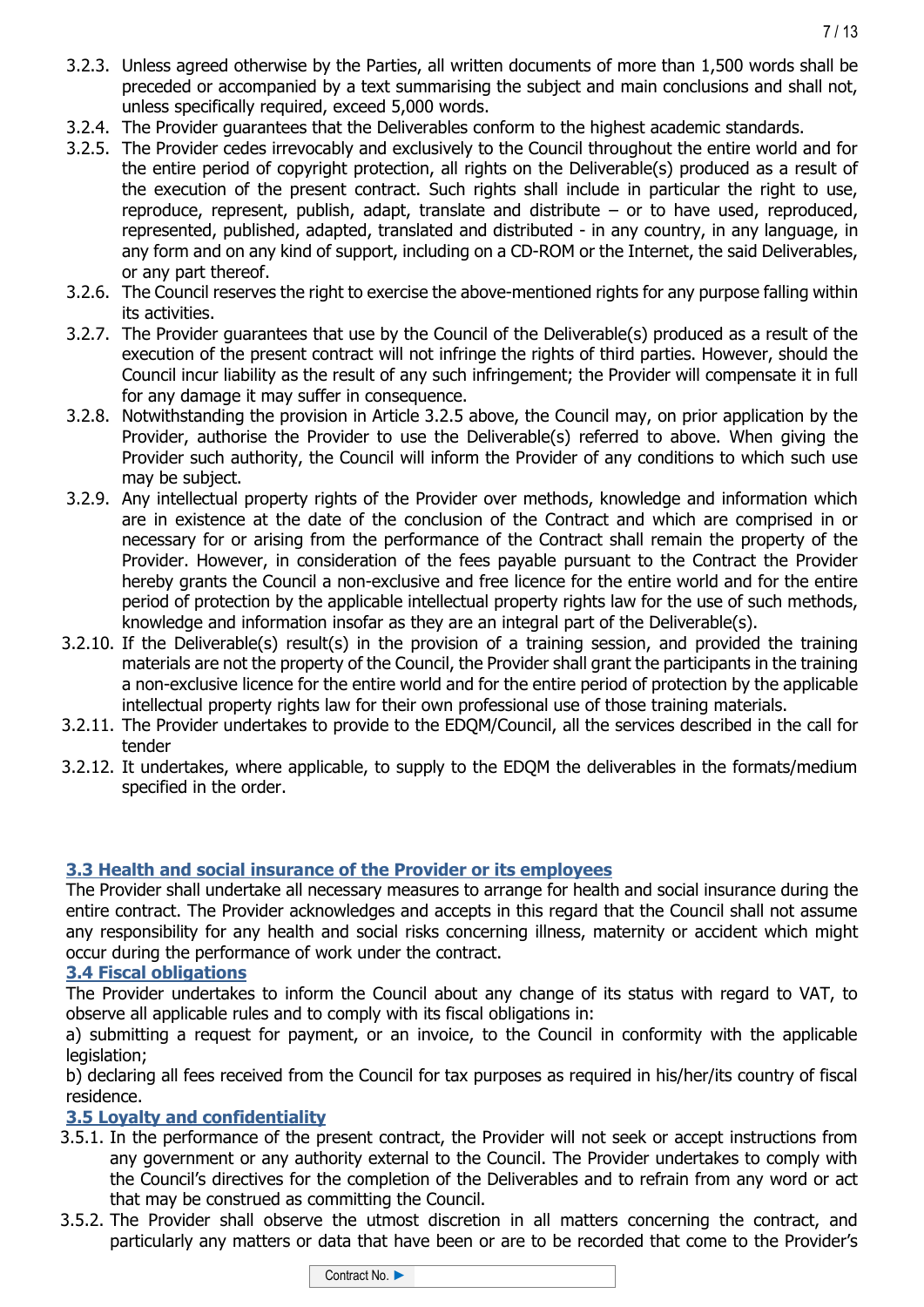- 3.2.3. Unless agreed otherwise by the Parties, all written documents of more than 1,500 words shall be preceded or accompanied by a text summarising the subject and main conclusions and shall not, unless specifically required, exceed 5,000 words.
- 3.2.4. The Provider guarantees that the Deliverables conform to the highest academic standards.
- 3.2.5. The Provider cedes irrevocably and exclusively to the Council throughout the entire world and for the entire period of copyright protection, all rights on the Deliverable(s) produced as a result of the execution of the present contract. Such rights shall include in particular the right to use, reproduce, represent, publish, adapt, translate and distribute – or to have used, reproduced, represented, published, adapted, translated and distributed - in any country, in any language, in any form and on any kind of support, including on a CD-ROM or the Internet, the said Deliverables, or any part thereof.
- 3.2.6. The Council reserves the right to exercise the above-mentioned rights for any purpose falling within its activities.
- 3.2.7. The Provider guarantees that use by the Council of the Deliverable(s) produced as a result of the execution of the present contract will not infringe the rights of third parties. However, should the Council incur liability as the result of any such infringement; the Provider will compensate it in full for any damage it may suffer in consequence.
- 3.2.8. Notwithstanding the provision in Article 3.2.5 above, the Council may, on prior application by the Provider, authorise the Provider to use the Deliverable(s) referred to above. When giving the Provider such authority, the Council will inform the Provider of any conditions to which such use may be subject.
- 3.2.9. Any intellectual property rights of the Provider over methods, knowledge and information which are in existence at the date of the conclusion of the Contract and which are comprised in or necessary for or arising from the performance of the Contract shall remain the property of the Provider. However, in consideration of the fees payable pursuant to the Contract the Provider hereby grants the Council a non-exclusive and free licence for the entire world and for the entire period of protection by the applicable intellectual property rights law for the use of such methods, knowledge and information insofar as they are an integral part of the Deliverable(s).
- 3.2.10. If the Deliverable(s) result(s) in the provision of a training session, and provided the training materials are not the property of the Council, the Provider shall grant the participants in the training a non-exclusive licence for the entire world and for the entire period of protection by the applicable intellectual property rights law for their own professional use of those training materials.
- 3.2.11. The Provider undertakes to provide to the EDQM/Council, all the services described in the call for tender
- 3.2.12. It undertakes, where applicable, to supply to the EDQM the deliverables in the formats/medium specified in the order.

### **3.3 Health and social insurance of the Provider or its employees**

The Provider shall undertake all necessary measures to arrange for health and social insurance during the entire contract. The Provider acknowledges and accepts in this regard that the Council shall not assume any responsibility for any health and social risks concerning illness, maternity or accident which might occur during the performance of work under the contract.

### **3.4 Fiscal obligations**

The Provider undertakes to inform the Council about any change of its status with regard to VAT, to observe all applicable rules and to comply with its fiscal obligations in:

a) submitting a request for payment, or an invoice, to the Council in conformity with the applicable legislation;

b) declaring all fees received from the Council for tax purposes as required in his/her/its country of fiscal residence.

### **3.5 Loyalty and confidentiality**

- 3.5.1. In the performance of the present contract, the Provider will not seek or accept instructions from any government or any authority external to the Council. The Provider undertakes to comply with the Council's directives for the completion of the Deliverables and to refrain from any word or act that may be construed as committing the Council.
- 3.5.2. The Provider shall observe the utmost discretion in all matters concerning the contract, and particularly any matters or data that have been or are to be recorded that come to the Provider's

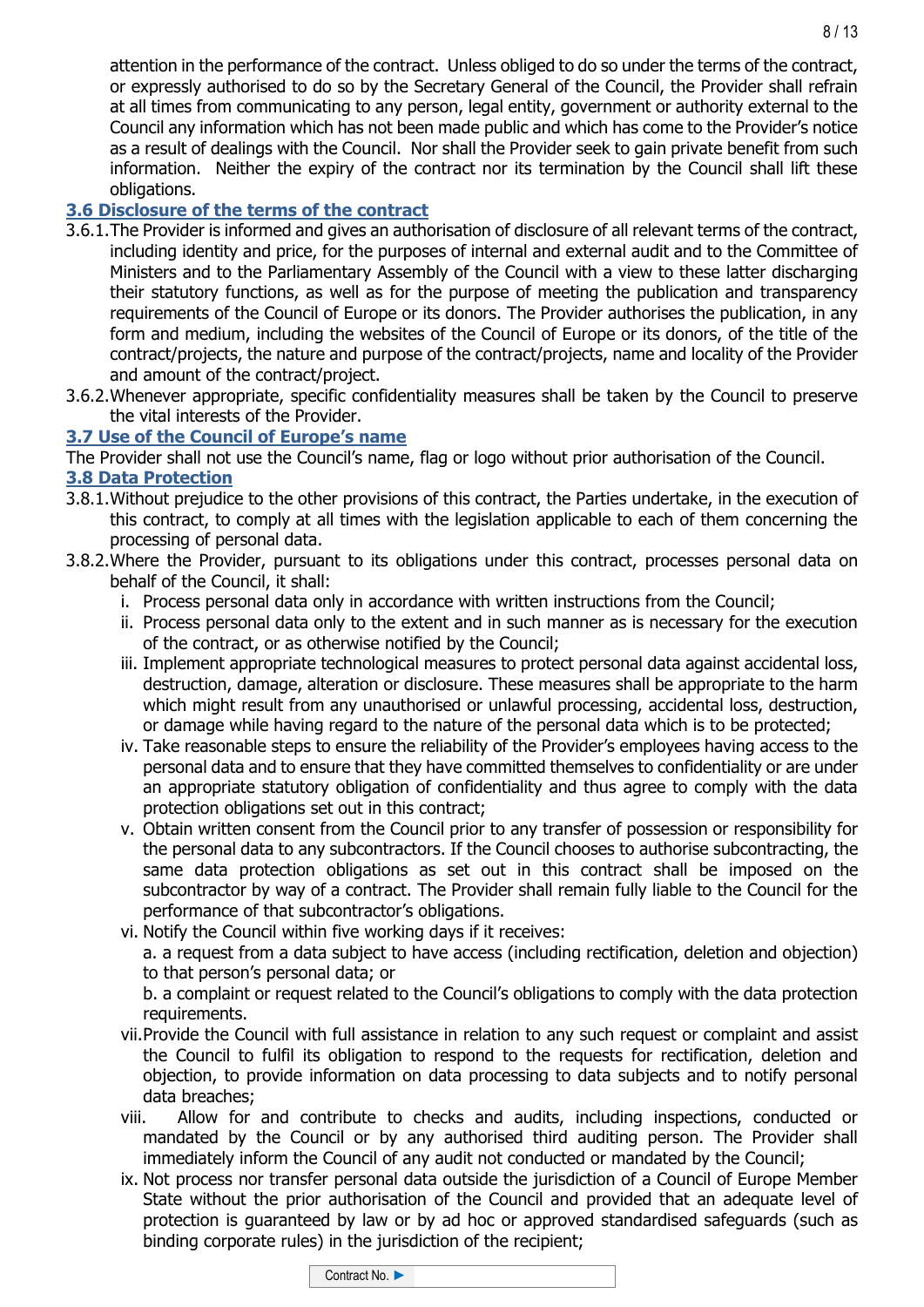attention in the performance of the contract. Unless obliged to do so under the terms of the contract, or expressly authorised to do so by the Secretary General of the Council, the Provider shall refrain at all times from communicating to any person, legal entity, government or authority external to the Council any information which has not been made public and which has come to the Provider's notice as a result of dealings with the Council. Nor shall the Provider seek to gain private benefit from such information. Neither the expiry of the contract nor its termination by the Council shall lift these obligations.

# **3.6 Disclosure of the terms of the contract**

- 3.6.1.The Provider is informed and gives an authorisation of disclosure of all relevant terms of the contract, including identity and price, for the purposes of internal and external audit and to the Committee of Ministers and to the Parliamentary Assembly of the Council with a view to these latter discharging their statutory functions, as well as for the purpose of meeting the publication and transparency requirements of the Council of Europe or its donors. The Provider authorises the publication, in any form and medium, including the websites of the Council of Europe or its donors, of the title of the contract/projects, the nature and purpose of the contract/projects, name and locality of the Provider and amount of the contract/project.
- 3.6.2.Whenever appropriate, specific confidentiality measures shall be taken by the Council to preserve the vital interests of the Provider.

# **3.7 Use of the Council of Europe's name**

The Provider shall not use the Council's name, flag or logo without prior authorisation of the Council.

# **3.8 Data Protection**

- 3.8.1.Without prejudice to the other provisions of this contract, the Parties undertake, in the execution of this contract, to comply at all times with the legislation applicable to each of them concerning the processing of personal data.
- 3.8.2.Where the Provider, pursuant to its obligations under this contract, processes personal data on behalf of the Council, it shall:
	- i. Process personal data only in accordance with written instructions from the Council;
	- ii. Process personal data only to the extent and in such manner as is necessary for the execution of the contract, or as otherwise notified by the Council;
	- iii. Implement appropriate technological measures to protect personal data against accidental loss, destruction, damage, alteration or disclosure. These measures shall be appropriate to the harm which might result from any unauthorised or unlawful processing, accidental loss, destruction, or damage while having regard to the nature of the personal data which is to be protected;
	- iv. Take reasonable steps to ensure the reliability of the Provider's employees having access to the personal data and to ensure that they have committed themselves to confidentiality or are under an appropriate statutory obligation of confidentiality and thus agree to comply with the data protection obligations set out in this contract;
	- v. Obtain written consent from the Council prior to any transfer of possession or responsibility for the personal data to any subcontractors. If the Council chooses to authorise subcontracting, the same data protection obligations as set out in this contract shall be imposed on the subcontractor by way of a contract. The Provider shall remain fully liable to the Council for the performance of that subcontractor's obligations.
	- vi. Notify the Council within five working days if it receives:

a. a request from a data subject to have access (including rectification, deletion and objection) to that person's personal data; or

b. a complaint or request related to the Council's obligations to comply with the data protection requirements.

- vii.Provide the Council with full assistance in relation to any such request or complaint and assist the Council to fulfil its obligation to respond to the requests for rectification, deletion and objection, to provide information on data processing to data subjects and to notify personal data breaches;
- viii. Allow for and contribute to checks and audits, including inspections, conducted or mandated by the Council or by any authorised third auditing person. The Provider shall immediately inform the Council of any audit not conducted or mandated by the Council;
- ix. Not process nor transfer personal data outside the jurisdiction of a Council of Europe Member State without the prior authorisation of the Council and provided that an adequate level of protection is guaranteed by law or by ad hoc or approved standardised safeguards (such as binding corporate rules) in the jurisdiction of the recipient;

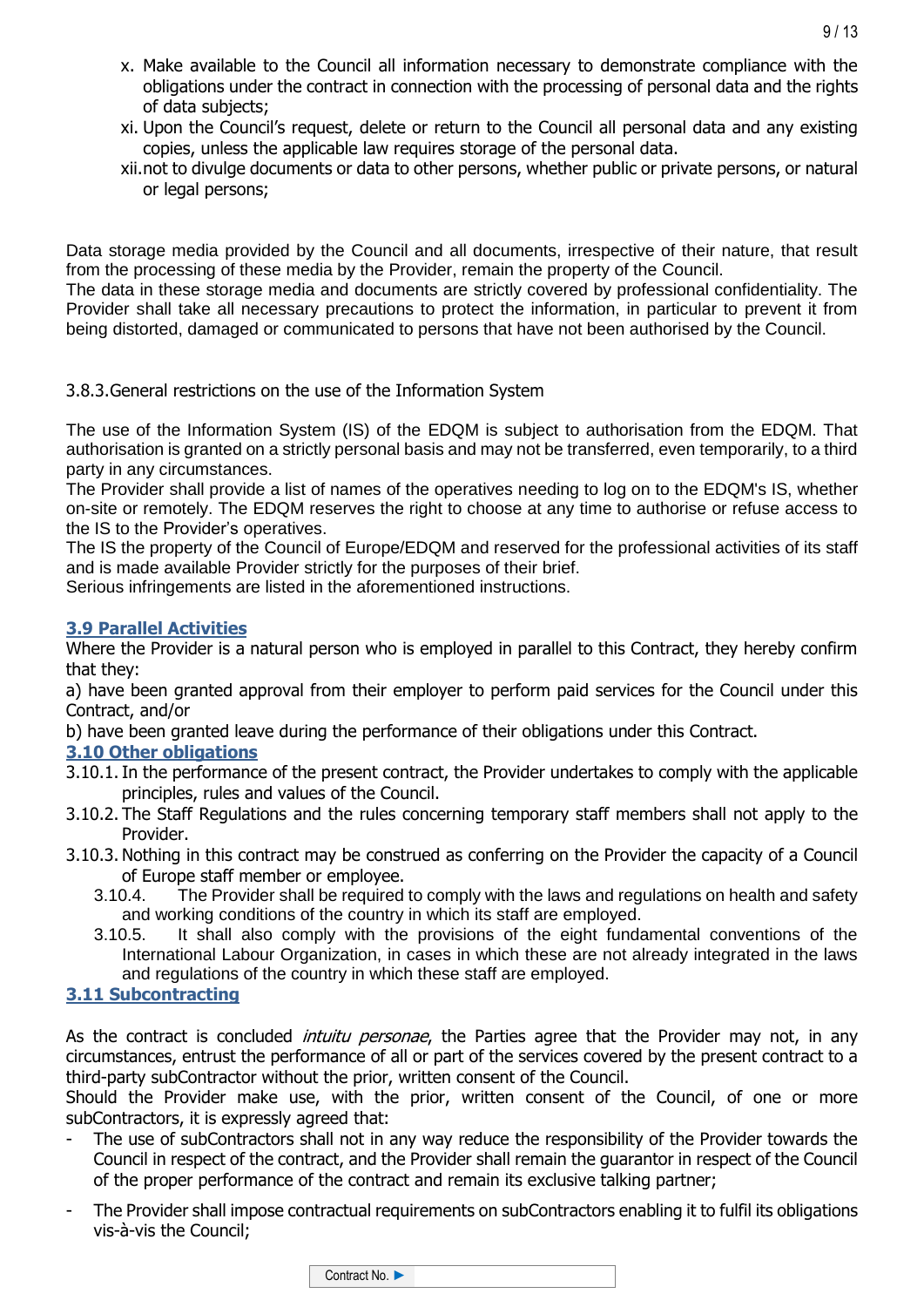- x. Make available to the Council all information necessary to demonstrate compliance with the obligations under the contract in connection with the processing of personal data and the rights of data subjects;
- xi. Upon the Council's request, delete or return to the Council all personal data and any existing copies, unless the applicable law requires storage of the personal data.
- xii.not to divulge documents or data to other persons, whether public or private persons, or natural or legal persons;

Data storage media provided by the Council and all documents, irrespective of their nature, that result from the processing of these media by the Provider, remain the property of the Council.

The data in these storage media and documents are strictly covered by professional confidentiality. The Provider shall take all necessary precautions to protect the information, in particular to prevent it from being distorted, damaged or communicated to persons that have not been authorised by the Council.

3.8.3.General restrictions on the use of the Information System

The use of the Information System (IS) of the EDQM is subject to authorisation from the EDQM. That authorisation is granted on a strictly personal basis and may not be transferred, even temporarily, to a third party in any circumstances.

The Provider shall provide a list of names of the operatives needing to log on to the EDQM's IS, whether on-site or remotely. The EDQM reserves the right to choose at any time to authorise or refuse access to the IS to the Provider's operatives.

The IS the property of the Council of Europe/EDQM and reserved for the professional activities of its staff and is made available Provider strictly for the purposes of their brief.

Serious infringements are listed in the aforementioned instructions.

#### **3.9 Parallel Activities**

Where the Provider is a natural person who is employed in parallel to this Contract, they hereby confirm that they:

a) have been granted approval from their employer to perform paid services for the Council under this Contract, and/or

b) have been granted leave during the performance of their obligations under this Contract.

### **3.10 Other obligations**

- 3.10.1.In the performance of the present contract, the Provider undertakes to comply with the applicable principles, rules and values of the Council.
- 3.10.2. The Staff Regulations and the rules concerning temporary staff members shall not apply to the Provider.
- 3.10.3. Nothing in this contract may be construed as conferring on the Provider the capacity of a Council of Europe staff member or employee.
	- 3.10.4. The Provider shall be required to comply with the laws and regulations on health and safety and working conditions of the country in which its staff are employed.
	- 3.10.5. It shall also comply with the provisions of the eight fundamental conventions of the International Labour Organization, in cases in which these are not already integrated in the laws and regulations of the country in which these staff are employed.

### **3.11 Subcontracting**

As the contract is concluded *intuitu personae*, the Parties agree that the Provider may not, in any circumstances, entrust the performance of all or part of the services covered by the present contract to a third-party subContractor without the prior, written consent of the Council.

Should the Provider make use, with the prior, written consent of the Council, of one or more subContractors, it is expressly agreed that:

- The use of subContractors shall not in any way reduce the responsibility of the Provider towards the Council in respect of the contract, and the Provider shall remain the guarantor in respect of the Council of the proper performance of the contract and remain its exclusive talking partner;
- The Provider shall impose contractual requirements on subContractors enabling it to fulfil its obligations vis-à-vis the Council;

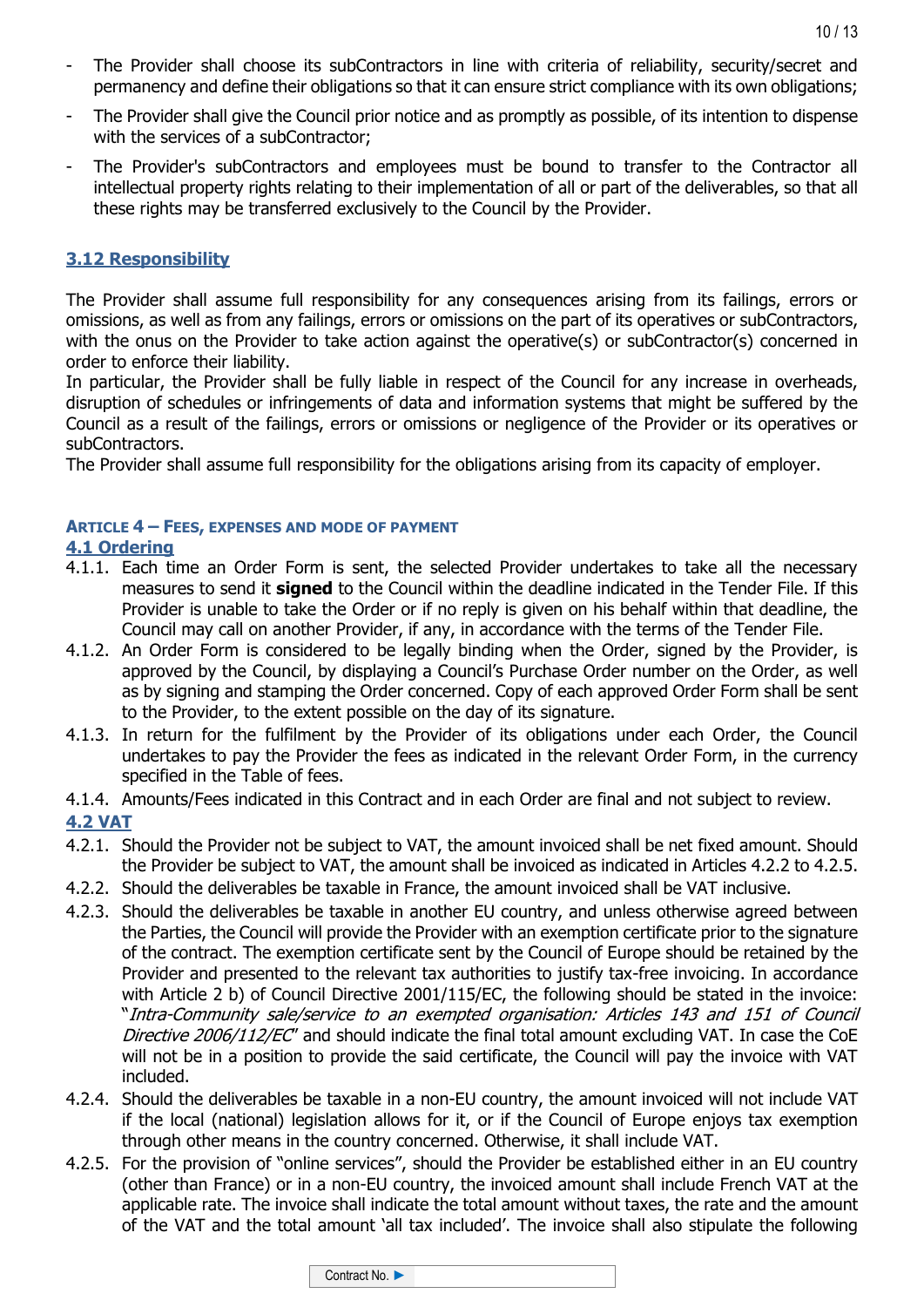- The Provider shall choose its subContractors in line with criteria of reliability, security/secret and permanency and define their obligations so that it can ensure strict compliance with its own obligations;
- The Provider shall give the Council prior notice and as promptly as possible, of its intention to dispense with the services of a subContractor;
- The Provider's subContractors and employees must be bound to transfer to the Contractor all intellectual property rights relating to their implementation of all or part of the deliverables, so that all these rights may be transferred exclusively to the Council by the Provider.

### **3.12 Responsibility**

The Provider shall assume full responsibility for any consequences arising from its failings, errors or omissions, as well as from any failings, errors or omissions on the part of its operatives or subContractors, with the onus on the Provider to take action against the operative(s) or subContractor(s) concerned in order to enforce their liability.

In particular, the Provider shall be fully liable in respect of the Council for any increase in overheads, disruption of schedules or infringements of data and information systems that might be suffered by the Council as a result of the failings, errors or omissions or negligence of the Provider or its operatives or subContractors.

The Provider shall assume full responsibility for the obligations arising from its capacity of employer.

#### **ARTICLE 4 – FEES, EXPENSES AND MODE OF PAYMENT**

#### **4.1 Ordering**

- 4.1.1. Each time an Order Form is sent, the selected Provider undertakes to take all the necessary measures to send it **signed** to the Council within the deadline indicated in the Tender File. If this Provider is unable to take the Order or if no reply is given on his behalf within that deadline, the Council may call on another Provider, if any, in accordance with the terms of the Tender File.
- 4.1.2. An Order Form is considered to be legally binding when the Order, signed by the Provider, is approved by the Council, by displaying a Council's Purchase Order number on the Order, as well as by signing and stamping the Order concerned. Copy of each approved Order Form shall be sent to the Provider, to the extent possible on the day of its signature.
- 4.1.3. In return for the fulfilment by the Provider of its obligations under each Order, the Council undertakes to pay the Provider the fees as indicated in the relevant Order Form, in the currency specified in the Table of fees.
- 4.1.4. Amounts/Fees indicated in this Contract and in each Order are final and not subject to review.

### **4.2 VAT**

- 4.2.1. Should the Provider not be subject to VAT, the amount invoiced shall be net fixed amount. Should the Provider be subject to VAT, the amount shall be invoiced as indicated in Articles 4.2.2 to 4.2.5.
- 4.2.2. Should the deliverables be taxable in France, the amount invoiced shall be VAT inclusive.
- 4.2.3. Should the deliverables be taxable in another EU country, and unless otherwise agreed between the Parties, the Council will provide the Provider with an exemption certificate prior to the signature of the contract. The exemption certificate sent by the Council of Europe should be retained by the Provider and presented to the relevant tax authorities to justify tax-free invoicing. In accordance with Article 2 b) of Council Directive 2001/115/EC, the following should be stated in the invoice: "Intra-Community sale/service to an exempted organisation: Articles 143 and 151 of Council Directive 2006/112/EC" and should indicate the final total amount excluding VAT. In case the CoE will not be in a position to provide the said certificate, the Council will pay the invoice with VAT included.
- 4.2.4. Should the deliverables be taxable in a non-EU country, the amount invoiced will not include VAT if the local (national) legislation allows for it, or if the Council of Europe enjoys tax exemption through other means in the country concerned. Otherwise, it shall include VAT.
- 4.2.5. For the provision of "online services", should the Provider be established either in an EU country (other than France) or in a non-EU country, the invoiced amount shall include French VAT at the applicable rate. The invoice shall indicate the total amount without taxes, the rate and the amount of the VAT and the total amount 'all tax included'. The invoice shall also stipulate the following

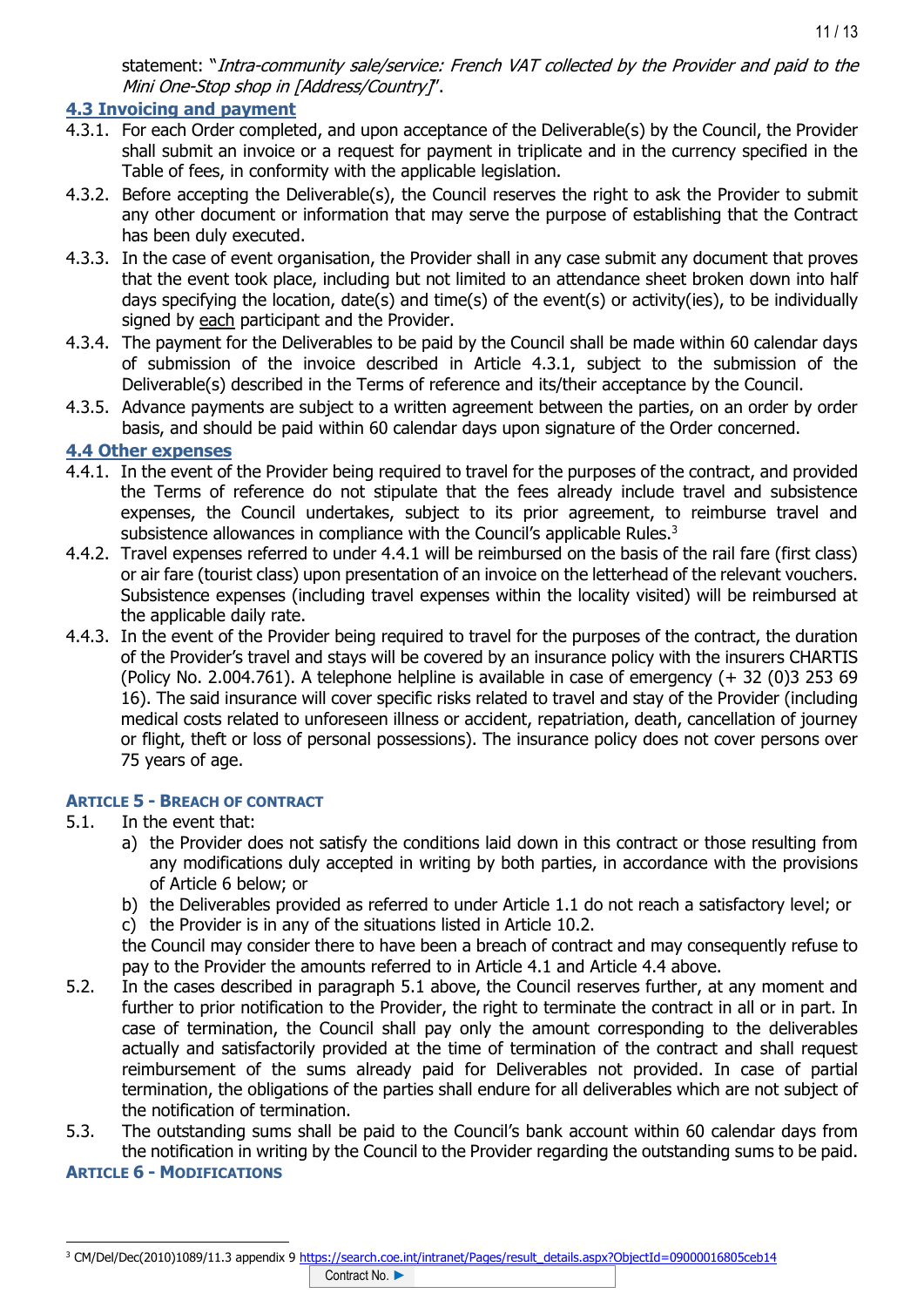statement: "Intra-community sale/service: French VAT collected by the Provider and paid to the Mini One-Stop shop in [Address/Country]".

# **4.3 Invoicing and payment**

- 4.3.1. For each Order completed, and upon acceptance of the Deliverable(s) by the Council, the Provider shall submit an invoice or a request for payment in triplicate and in the currency specified in the Table of fees, in conformity with the applicable legislation.
- 4.3.2. Before accepting the Deliverable(s), the Council reserves the right to ask the Provider to submit any other document or information that may serve the purpose of establishing that the Contract has been duly executed.
- 4.3.3. In the case of event organisation, the Provider shall in any case submit any document that proves that the event took place, including but not limited to an attendance sheet broken down into half days specifying the location, date(s) and time(s) of the event(s) or activity(ies), to be individually signed by each participant and the Provider.
- 4.3.4. The payment for the Deliverables to be paid by the Council shall be made within 60 calendar days of submission of the invoice described in Article 4.3.1, subject to the submission of the Deliverable(s) described in the Terms of reference and its/their acceptance by the Council.
- 4.3.5. Advance payments are subject to a written agreement between the parties, on an order by order basis, and should be paid within 60 calendar days upon signature of the Order concerned.

### **4.4 Other expenses**

- 4.4.1. In the event of the Provider being required to travel for the purposes of the contract, and provided the Terms of reference do not stipulate that the fees already include travel and subsistence expenses, the Council undertakes, subject to its prior agreement, to reimburse travel and subsistence allowances in compliance with the Council's applicable Rules.<sup>3</sup>
- 4.4.2. Travel expenses referred to under 4.4.1 will be reimbursed on the basis of the rail fare (first class) or air fare (tourist class) upon presentation of an invoice on the letterhead of the relevant vouchers. Subsistence expenses (including travel expenses within the locality visited) will be reimbursed at the applicable daily rate.
- 4.4.3. In the event of the Provider being required to travel for the purposes of the contract, the duration of the Provider's travel and stays will be covered by an insurance policy with the insurers CHARTIS (Policy No. 2.004.761). A telephone helpline is available in case of emergency (+ 32 (0)3 253 69 16). The said insurance will cover specific risks related to travel and stay of the Provider (including medical costs related to unforeseen illness or accident, repatriation, death, cancellation of journey or flight, theft or loss of personal possessions). The insurance policy does not cover persons over 75 years of age.

#### **ARTICLE 5 - BREACH OF CONTRACT**

- 5.1. In the event that:
	- a) the Provider does not satisfy the conditions laid down in this contract or those resulting from any modifications duly accepted in writing by both parties, in accordance with the provisions of Article 6 below; or
	- b) the Deliverables provided as referred to under Article 1.1 do not reach a satisfactory level; or
	- c) the Provider is in any of the situations listed in Article 10.2.

the Council may consider there to have been a breach of contract and may consequently refuse to pay to the Provider the amounts referred to in Article 4.1 and Article 4.4 above.

- 5.2. In the cases described in paragraph 5.1 above, the Council reserves further, at any moment and further to prior notification to the Provider, the right to terminate the contract in all or in part. In case of termination, the Council shall pay only the amount corresponding to the deliverables actually and satisfactorily provided at the time of termination of the contract and shall request reimbursement of the sums already paid for Deliverables not provided. In case of partial termination, the obligations of the parties shall endure for all deliverables which are not subject of the notification of termination.
- 5.3. The outstanding sums shall be paid to the Council's bank account within 60 calendar days from the notification in writing by the Council to the Provider regarding the outstanding sums to be paid.

#### **ARTICLE 6 - MODIFICATIONS**

<sup>&</sup>lt;sup>3</sup> CM/Del/Dec(2010)1089/11.3 appendix 9 [https://search.coe.int/intranet/Pages/result\\_details.aspx?ObjectId=09000016805ceb14](https://search.coe.int/intranet/Pages/result_details.aspx?ObjectId=09000016805ceb14)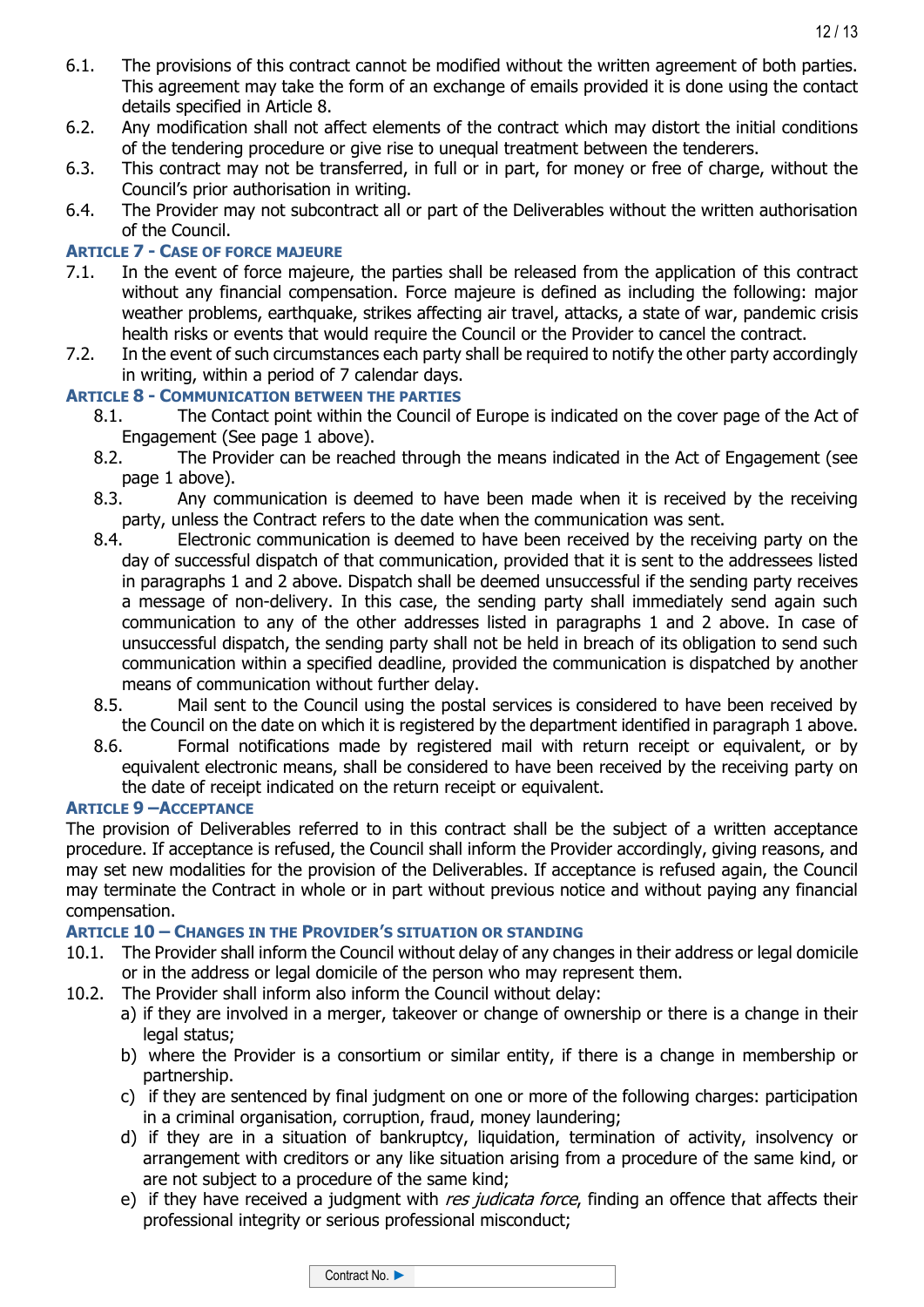- 6.1. The provisions of this contract cannot be modified without the written agreement of both parties. This agreement may take the form of an exchange of emails provided it is done using the contact details specified in Article 8.
- 6.2. Any modification shall not affect elements of the contract which may distort the initial conditions of the tendering procedure or give rise to unequal treatment between the tenderers.
- 6.3. This contract may not be transferred, in full or in part, for money or free of charge, without the Council's prior authorisation in writing.
- 6.4. The Provider may not subcontract all or part of the Deliverables without the written authorisation of the Council.

## **ARTICLE 7 - CASE OF FORCE MAJEURE**

- 7.1. In the event of force majeure, the parties shall be released from the application of this contract without any financial compensation. Force majeure is defined as including the following: major weather problems, earthquake, strikes affecting air travel, attacks, a state of war, pandemic crisis health risks or events that would require the Council or the Provider to cancel the contract.
- 7.2. In the event of such circumstances each party shall be required to notify the other party accordingly in writing, within a period of 7 calendar days.

# **ARTICLE 8 - COMMUNICATION BETWEEN THE PARTIES**

- 8.1. The Contact point within the Council of Europe is indicated on the cover page of the Act of Engagement (See page 1 above).
- 8.2. The Provider can be reached through the means indicated in the Act of Engagement (see page 1 above).
- 8.3. Any communication is deemed to have been made when it is received by the receiving party, unless the Contract refers to the date when the communication was sent.
- 8.4. Electronic communication is deemed to have been received by the receiving party on the day of successful dispatch of that communication, provided that it is sent to the addressees listed in paragraphs 1 and 2 above. Dispatch shall be deemed unsuccessful if the sending party receives a message of non-delivery. In this case, the sending party shall immediately send again such communication to any of the other addresses listed in paragraphs 1 and 2 above. In case of unsuccessful dispatch, the sending party shall not be held in breach of its obligation to send such communication within a specified deadline, provided the communication is dispatched by another means of communication without further delay.
- 8.5. Mail sent to the Council using the postal services is considered to have been received by the Council on the date on which it is registered by the department identified in paragraph 1 above.
- 8.6. Formal notifications made by registered mail with return receipt or equivalent, or by equivalent electronic means, shall be considered to have been received by the receiving party on the date of receipt indicated on the return receipt or equivalent.

### **ARTICLE 9 –ACCEPTANCE**

The provision of Deliverables referred to in this contract shall be the subject of a written acceptance procedure. If acceptance is refused, the Council shall inform the Provider accordingly, giving reasons, and may set new modalities for the provision of the Deliverables. If acceptance is refused again, the Council may terminate the Contract in whole or in part without previous notice and without paying any financial compensation.

### **ARTICLE 10 – CHANGES IN THE PROVIDER'S SITUATION OR STANDING**

- 10.1. The Provider shall inform the Council without delay of any changes in their address or legal domicile or in the address or legal domicile of the person who may represent them.
- 10.2. The Provider shall inform also inform the Council without delay:
	- a) if they are involved in a merger, takeover or change of ownership or there is a change in their legal status;
	- b) where the Provider is a consortium or similar entity, if there is a change in membership or partnership.
	- c) if they are sentenced by final judgment on one or more of the following charges: participation in a criminal organisation, corruption, fraud, money laundering;
	- d) if they are in a situation of bankruptcy, liquidation, termination of activity, insolvency or arrangement with creditors or any like situation arising from a procedure of the same kind, or are not subject to a procedure of the same kind;
	- e) if they have received a judgment with res judicata force, finding an offence that affects their professional integrity or serious professional misconduct;